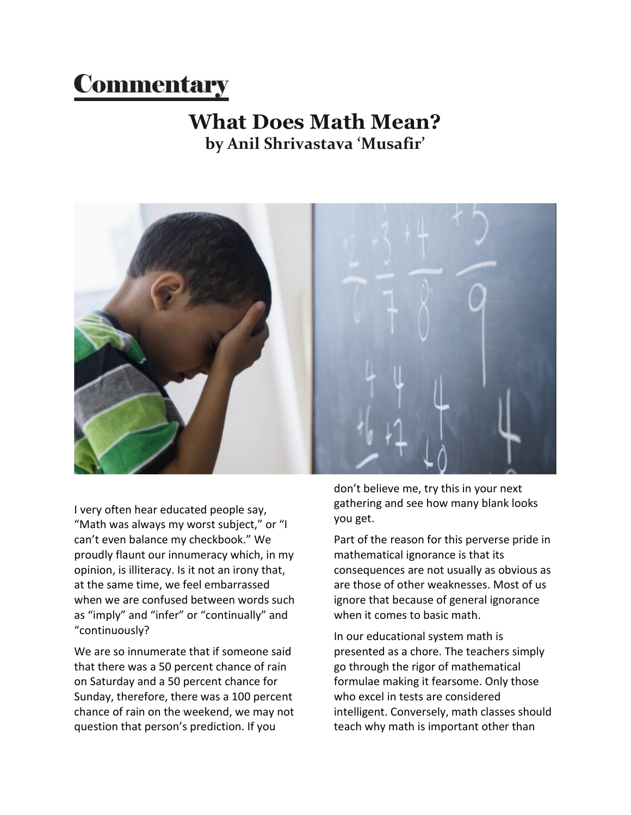## **Commentary**

## **What Does Math Mean? by Anil Shrivastava 'Musafir'**



I very often hear educated people say, "Math was always my worst subject," or "I can't even balance my checkbook." We proudly flaunt our innumeracy which, in my opinion, is illiteracy. Is it not an irony that, at the same time, we feel embarrassed when we are confused between words such as "imply" and "infer" or "continually" and "continuously?

We are so innumerate that if someone said that there was a 50 percent chance of rain on Saturday and a 50 percent chance for Sunday, therefore, there was a 100 percent chance of rain on the weekend, we may not question that person's prediction. If you

don't believe me, try this in your next gathering and see how many blank looks you get.

Part of the reason for this perverse pride in mathematical ignorance is that its consequences are not usually as obvious as are those of other weaknesses. Most of us ignore that because of general ignorance when it comes to basic math.

In our educational system math is presented as a chore. The teachers simply go through the rigor of mathematical formulae making it fearsome. Only those who excel in tests are considered intelligent. Conversely, math classes should teach why math is important other than